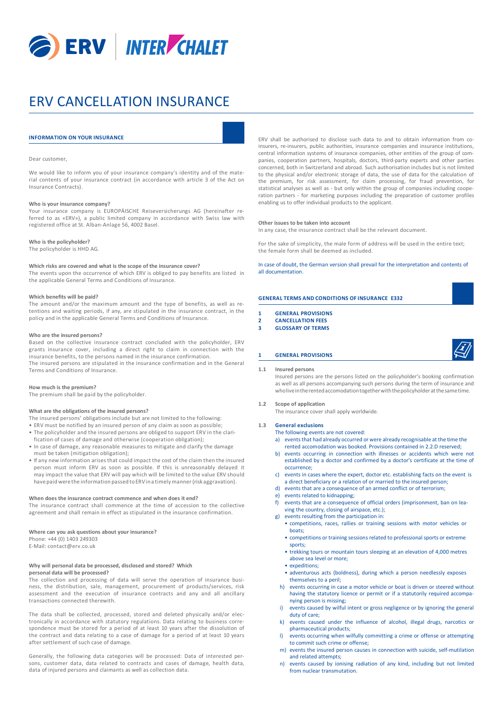

# ERV CANCELLATION INSURANCE

# **INFORMATION ON YOUR INSURANCE**

# Dear customer,

We would like to inform you of your insurance company's identity and of the material contents of your insurance contract (in accordance with article 3 of the Act on Insurance Contracts).

# **Who is your insurance company?**

Your insurance company is EUROPÄISCHE Reiseversicherungs AG (hereinafter referred to as «ERV»), a public limited company in accordance with Swiss law with registered office at St. Alban-Anlage 56, 4002 Basel.

# **Who is the policyholder?**

The policyholder is HHD AG.

#### **Which risks are covered and what is the scope of the insurance cover?**

The events upon the occurrence of which ERV is obliged to pay benefits are listed in the applicable General Terms and Conditions of Insurance.

# **Which benefits will be paid?**

The amount and/or the maximum amount and the type of benefits, as well as retentions and waiting periods, if any, are stipulated in the insurance contract, in the policy and in the applicable General Terms and Conditions of Insurance.

#### **Who are the insured persons?**

Based on the collective insurance contract concluded with the policyholder, ERV grants insurance cover, including a direct right to claim in connection with the insurance benefits, to the persons named in the insurance confirmation. The insured persons are stipulated in the insurance confirmation and in the General Terms and Conditions of Insurance.

#### **How much is the premium?**

The premium shall be paid by the policyholder.

# **What are the obligations of the insured persons?**

The insured persons' obligations include but are not limited to the following:

- ERV must be notified by an insured person of any claim as soon as possible; • The policyholder and the insured persons are obliged to support ERV in the clarification of cases of damage and otherwise (cooperation obligation);
- In case of damage, any reasonable measures to mitigate and clarify the damage must be taken (mitigation obligation);
- If any new information arisesthat could impact the cost of the claim then the insured person must inform ERV as soon as possible. If this is unreasonably delayed it may impact the value that ERV will pay which will be limited to the value ERV should havepaid werethe information passed toERVina timely manner(risk aggravation).

#### **When does the insurance contract commence and when does it end?**

The insurance contract shall commence at the time of accession to the collective agreement and shall remain in effect as stipulated in the insurance confirmation.

# **Where can you ask questions about your insurance?**

Phone: +44 (0) 1403 249303 E-Mail: contact@erv.co.uk

# **Why will personal data be processed, disclosed and stored? Which personal data will be processed?**

The collection and processing of data will serve the operation of insurance business, the distribution, sale, management, procurement of products/services, risk assessment and the execution of insurance contracts and any and all ancillary transactions connected therewith.

The data shall be collected, processed, stored and deleted physically and/or electronically in accordance with statutory regulations. Data relating to business correspondence must be stored for a period of at least 10 years after the dissolution of the contract and data relating to a case of damage for a period of at least 10 years after settlement of such case of damage.

Generally, the following data categories will be processed: Data of interested persons, customer data, data related to contracts and cases of damage, health data, data of injured persons and claimants as well as collection data.

ERV shall be authorised to disclose such data to and to obtain information from coinsurers, re-insurers, public authorities, insurance companies and insurance institutions, central information systems of insurance companies, other entities of the group of companies, cooperation partners, hospitals, doctors, third-party experts and other parties concerned, both in Switzerland and abroad. Such authorisation includes but is not limited to the physical and/or electronic storage of data, the use of data for the calculation of the premium, for risk assessment, for claim processing, for fraud prevention, for statistical analyses as well as - but only within the group of companies including cooperation partners - for marketing purposes including the preparation of customer profiles enabling us to offer individual products to the applicant.

# **Other issues to be taken into account**

In any case, the insurance contract shall be the relevant document.

For the sake of simplicity, the male form of address will be used in the entire text; the female form shall be deemed as included.

# In case of doubt, the German version shall prevail for the interpretation and contents of all documentation.

# **GENERAL TERMS AND CONDITIONS OF INSURANCE E332**

- **1 GENERAL PROVISIONS**
- **2 CANCELLATION FEES**
- **3 GLOSSARY OF TERMS**
- 

# **1 GENERAL PROVISIONS**

**1.1 Insured persons**

Insured persons are the persons listed on the policyholder's booking confirmation as well as all persons accompanying such persons during the term of insurance and wholiveintherentedaccomodationtogetherwiththepolicyholderatthesametime.

# **1.2 Scope of application**

The insurance cover shall apply worldwide.

#### **1.3 General exclusions**

The following events are not covered:

- a) events that had already occurred or were already recognisable at the time the rented accomodation was booked. Provisions contained in 2.2.D reserved;
- b) events occurring in connection with illnesses or accidents which were not established by a doctor and confirmed by a doctor's certificate at the time of occurrence;
- c) events in cases where the expert, doctor etc. establishing facts on the event is a direct beneficiary or a relation of or married to the insured person;
- d) events that are a consequence of an armed conflict or of terrorism;
- e) events related to kidnapping;
- f) events that are a consequence of official orders (imprisonment, ban on leaving the country, closing of airspace, etc.);
- g) events resulting from the participation in:
	- competitions, races, rallies or training sessions with motor vehicles or boats;
	- competitions or training sessions related to professional sports or extreme sports:
	- trekking tours or mountain tours sleeping at an elevation of 4,000 metres above sea level or more;
	- expeditions;
	- adventurous acts (boldness), during which a person needlessly exposes themselves to a peril;
	- h) events occurring in case a motor vehicle or boat is driven or steered without having the statutory licence or permit or if a statutorily required accompanying person is missing;
	- i) events caused by wilful intent or gross negligence or by ignoring the general duty of care;
	- k) events caused under the influence of alcohol, illegal drugs, narcotics or pharmaceutical products;
	- l) events occurring when wilfully committing a crime or offense or attempting to commit such crime or offense;
	- m) events the insured person causes in connection with suicide, self-mutilation and related attempts;
	- n) events caused by ionising radiation of any kind, including but not limited from nuclear transmutation.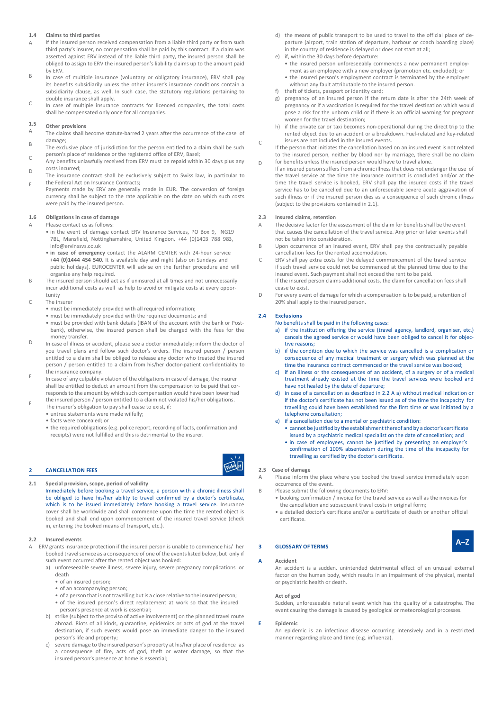#### **1.4 Claims to third parties**

- A If the insured person received compensation from a liable third party or from such third party's insurer, no compensation shall be paid by this contract. If a claim was asserted against ERV instead of the liable third party, the insured person shall be obliged to assign to ERV the insured person's liability claims up to the amount paid by ERV.
- B In case of multiple insurance (voluntary or obligatory insurance), ERV shall pay its benefits subsidiarily unless the other insurer's insurance conditions contain a subsidiarity clause, as well. In such case, the statutory regulations pertaining to double insurance shall apply.
- $\sqrt{2}$ In case of multiple insurance contracts for licenced companies, the total costs shall be compensated only once for all companies.

#### **1.5 Other provisions**

- A B The claims shall become statute-barred 2 years after the occurrence of the case of damage;
- $\sqrt{2}$ The exclusive place of jurisdiction for the person entitled to a claim shall be such person's place of residence or the registered office of ERV, Basel;
- $\overline{D}$ Any benefits unlawfully received from ERV must be repaid within 30 days plus any costs incurred;
- E The insurance contract shall be exclusively subject to Swiss law, in particular to the Federal Act on Insurance Contracts;
- Payments made by ERV are generally made in EUR. The conversion of foreign currency shall be subject to the rate applicable on the date on which such costs were paid by the insured person.

# **1.6 Obligations in case of damage 2.3 Insured claims, retention**

- - 7BL, Mansfield, Nottinghamshire, United Kingdon, +44 (0)1403 788 983,
	- in case of emergency contact the ALARM CENTER with 24-hour service
- incur additional costs as well as help to avoid or mitigate costs at every oppor- cease to exist.
- - must be immediately provided with all required information;
	- must be immediately provided with the required documents; and
	- must be provided with bank details (IBAN of the account with the bank or Postbank), otherwise, the insured person shall be charged with the fees for the money transfer.
- D In case of illness or accident, please see a doctor immediately; inform the doctor of you travel plans and follow such doctor's orders. The insured person / person entitled to a claim shall be obliged to release any doctor who treated the insured person / person entitled to a claim from his/her doctor-patient confidentiality to the insurance company.
- E In case of any culpable violation of the obligations in case of damage, the insurer shall be entitled to deduct an amount from the compensation to be paid that corresponds to the amount by which such compensation would have been lower had the insured person / person entitled to a claim not violated his/her obligations.
- F The insurer's obligation to pay shall cease to exist, if:
- untrue statements were made wilfully;
	- facts were concealed; or
	- the required obligations(e.g. police report, recording of facts, confirmation and receipts) were not fulfilled and this is detrimental to the insurer.

# **2 CANCELLATION FEES**

**2.1 Special provision, scope, period of validity**

Immediately before booking a travel service, a person with a chronic illness shall be obliged to have his/her ability to travel confirmed by a doctor's certificate, which is to be issued immediately before booking a travel service. Insurance cover shall be worldwide and shall commence upon the time the rented object is booked and shall end upon commencement of the insured travel service (check in, entering the booked means of transport, etc.).

# **2.2 Insured events**

- ERV grants insurance protection if the insured person is unable to commence his/ her booked travel service as a consequence of one of the events listed below, but only if such event occurred after the rented object was booked:
	- a) unforeseeable severe illness, severe injury, severe pregnancy complications or death
		- of an insured person;
		- of an accompanying person;
		- of a person that is not travelling but is a close relative to the insured person; • of the insured person's direct replacement at work so that the insured
		- person's presence at work is essential;
	- b) strike (subject to the proviso of active involvement) on the planned travel route abroad. Riots of all kinds, quarantine, epidemics or acts of god at the travel destination, if such events would pose an immediate danger to the insured person's life and property;
	- c) severe damage to the insured person's property at his/her place of residence as a consequence of fire, acts of god, theft or water damage, so that the insured person's presence at home is essential;
- d) the means of public transport to be used to travel to the official place of departure (airport, train station of departure, harbour or coach boarding place) in the country of residence is delayed or does not start at all;
- if, within the 30 days before departure:
- the insured person unforeseeably commences a new permanent employment as an employee with a new employer (promotion etc. excluded); or
- the insured person's employment contract is terminated by the employer without any fault attributable to the insured person.
- f) theft of tickets, passport or identity card;
- g) pregnancy of an insured person if the return date is after the 24th week of pregnancy or if a vaccination is required for the travel destination which would pose a risk for the unborn child or if there is an official warning for pregnant women for the travel destination;
- h) if the private car or taxi becomes non-operational during the direct trip to the rented object due to an accident or a breakdown. Fuel-related and key-related issues are not included in the insured events.
- C If the person that initiates the cancellation based on an insured event is not related to the insured person, neither by blood nor by marriage, there shall be no claim for benefits unless the insured person would have to travel alone.
- D If an insured person suffers from a chronic illnessthat does not endanger the use of the travel service at the time the insurance contract is concluded and/or at the time the travel service is booked, ERV shall pay the insured costs if the travel service has to be cancelled due to an unforeseeable severe acute aggravation of such illness or if the insured person dies as a consequence of such chronic illness (subject to the provisions contained in 2.1).

- A Please contact us as follows:<br>
 in the event of damage contact ERV Insurance Services, PO Box 9, NG19 that causes the cancellation of the travel service. Any prior or later events shall that causes the cancellation of the travel service. Any prior or later events shall not be taken into consideration
	- info@ervinssvs.co.uk<br>
	in case of emergency contact the ALARM CENTER with 24-hour service<br>
	ancellation fees for the rented accomodation.
- **+44 (0)1444 454 540.** It is available day and night (also on Sundays and C ERV shall pay extra costs for the delayed commencement of the travel service public holidays). EUROCENTER will advise on the further procedure and will if such travel service could not be commenced at the planned time due to the organise any help required.<br>The insured person should act as if uninsured at all times and not unnecessarily fithe insured person claims additional costs, the claim for cancella<br>If the insured person claims additional cost B The insured person should act as if uninsured at all times and not unnecessarily If the insured person claims additional costs, the claim for cancellation fees shall
- D For every event of damage for which a compensation is to be paid, a retention of C The insurer 20% shall apply to the insured person.

# **2.4 Exclusions**

- No benefits shall be paid in the following cases:
	- a) if the institution offering the service (travel agency, landlord, organiser, etc.) cancels the agreed service or would have been obliged to cancel it for objective reasons;
- b) if the condition due to which the service was cancelled is a complication or consequence of any medical treatment or surgery which was planned at the time the insurance contract commenced or the travel service was booked;
- c) if an illness or the consequences of an accident, of a surgery or of a medical treatment already existed at the time the travel services were booked and have not healed by the date of departure;
- d) in case of a cancellation as described in 2.2 A a) without medical indication or if the doctor's certificate has not been issued as of the time the incapacity for travelling could have been established for the first time or was initiated by a telephone consultation;
- e) if a cancellation due to a mental or psychiatric condition:
	- cannot be justified by the establishment thereof and by a doctor's certificate issued by a psychiatric medical specialist on the date of cancellation; and
	- in case of employees, cannot be justified by presenting an employer's confirmation of 100% absenteeism during the time of the incapacity for travelling as certified by the doctor's certificate.

# **2.5 Case of damage**

- A Please inform the place where you booked the travel service immediately upon occurrence of the event.
- B Please submit the following documents to ERV:
	- booking confirmation / invoice for the travel service as well as the invoices for the cancellation and subsequent travel costs in original form;
	- a detailed doctor's certificate and/or a certificate of death or another official certificate.

# **3 GLOSSARY OF TERMS**

# **A Accident**

An accident is a sudden, unintended detrimental effect of an unusual external factor on the human body, which results in an impairment of the physical, mental or psychiatric health or death.

**A–Z**

# **Act of god**

Sudden, unforeseeable natural event which has the quality of a catastrophe. The event causing the damage is caused by geological or meteorological processes.

# **E Epidemic**

An epidemic is an infectious disease occurring intensively and in a restricted manner regarding place and time (e.g. influenza).